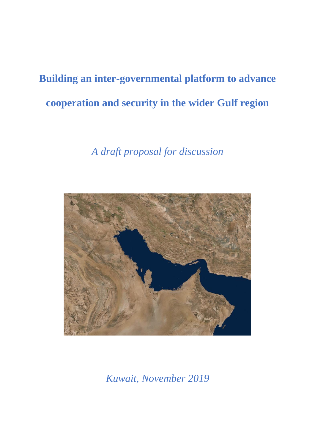# **Building an inter-governmental platform to advance cooperation and security in the wider Gulf region**

## *A draft proposal for discussion*



*Kuwait, November 2019*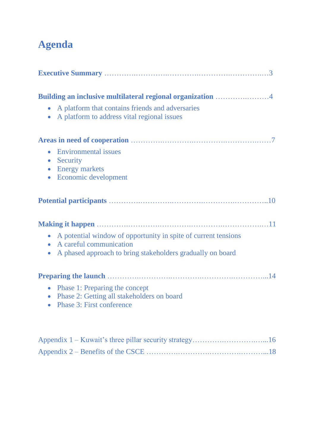# **Agenda**

| Building an inclusive multilateral regional organization 4<br>A platform that contains friends and adversaries<br>$\bullet$<br>A platform to address vital regional issues                     |
|------------------------------------------------------------------------------------------------------------------------------------------------------------------------------------------------|
| • Environmental issues<br>• Security<br>• Energy markets<br>Economic development<br>$\bullet$                                                                                                  |
|                                                                                                                                                                                                |
| A potential window of opportunity in spite of current tensions<br>$\bullet$<br>A careful communication<br>$\bullet$<br>A phased approach to bring stakeholders gradually on board<br>$\bullet$ |
| Phase 1: Preparing the concept<br>$\bullet$<br>Phase 2: Getting all stakeholders on board<br>$\bullet$<br><b>Phase 3: First conference</b><br>$\bullet$                                        |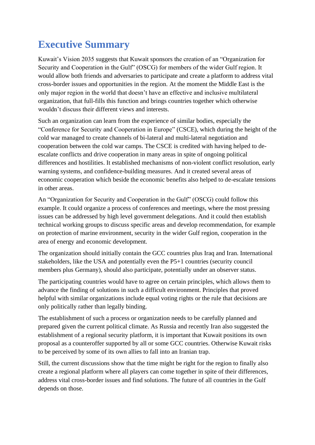## **Executive Summary**

Kuwait's Vision 2035 suggests that Kuwait sponsors the creation of an "Organization for Security and Cooperation in the Gulf" (OSCG) for members of the wider Gulf region. It would allow both friends and adversaries to participate and create a platform to address vital cross-border issues and opportunities in the region. At the moment the Middle East is the only major region in the world that doesn't have an effective and inclusive multilateral organization, that full-fills this function and brings countries together which otherwise wouldn't discuss their different views and interests.

Such an organization can learn from the experience of similar bodies, especially the "Conference for Security and Cooperation in Europe" (CSCE), which during the height of the cold war managed to create channels of bi-lateral and multi-lateral negotiation and cooperation between the cold war camps. The CSCE is credited with having helped to deescalate conflicts and drive cooperation in many areas in spite of ongoing political differences and hostilities. It established mechanisms of non-violent conflict resolution, early warning systems, and confidence-building measures. And it created several areas of economic cooperation which beside the economic benefits also helped to de-escalate tensions in other areas.

An "Organization for Security and Cooperation in the Gulf" (OSCG) could follow this example. It could organize a process of conferences and meetings, where the most pressing issues can be addressed by high level government delegations. And it could then establish technical working groups to discuss specific areas and develop recommendation, for example on protection of marine environment, security in the wider Gulf region, cooperation in the area of energy and economic development.

The organization should initially contain the GCC countries plus Iraq and Iran. International stakeholders, like the USA and potentially even the P5+1 countries (security council members plus Germany), should also participate, potentially under an observer status.

The participating countries would have to agree on certain principles, which allows them to advance the finding of solutions in such a difficult environment. Principles that proved helpful with similar organizations include equal voting rights or the rule that decisions are only politically rather than legally binding.

The establishment of such a process or organization needs to be carefully planned and prepared given the current political climate. As Russia and recently Iran also suggested the establishment of a regional security platform, it is important that Kuwait positions its own proposal as a counteroffer supported by all or some GCC countries. Otherwise Kuwait risks to be perceived by some of its own allies to fall into an Iranian trap.

Still, the current discussions show that the time might be right for the region to finally also create a regional platform where all players can come together in spite of their differences, address vital cross-border issues and find solutions. The future of all countries in the Gulf depends on those.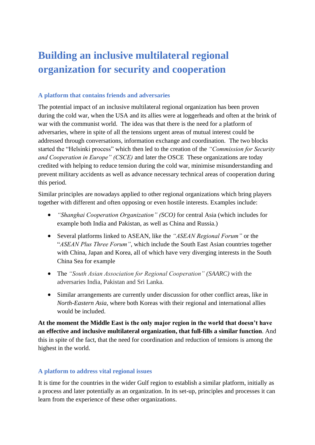# **Building an inclusive multilateral regional organization for security and cooperation**

### **A platform that contains friends and adversaries**

The potential impact of an inclusive multilateral regional organization has been proven during the cold war, when the USA and its allies were at loggerheads and often at the brink of war with the communist world. The idea was that there is the need for a platform of adversaries, where in spite of all the tensions urgent areas of mutual interest could be addressed through conversations, information exchange and coordination. The two blocks started the "Helsinki process" which then led to the creation of the *"Commission for Security and Cooperation in Europe" (CSCE)* and later the OSCE These organizations are today credited with helping to reduce tension during the cold war, minimise misunderstanding and prevent military accidents as well as advance necessary technical areas of cooperation during this period.

Similar principles are nowadays applied to other regional organizations which bring players together with different and often opposing or even hostile interests. Examples include:

- *"Shanghai Cooperation Organization" (SCO)* for central Asia (which includes for example both India and Pakistan, as well as China and Russia.)
- Several platforms linked to ASEAN, like the *"ASEAN Regional Forum"* or the "*ASEAN Plus Three Forum"*, which include the South East Asian countries together with China, Japan and Korea, all of which have very diverging interests in the South China Sea for example
- The *"South Asian Association for Regional Cooperation" (SAARC)* with the adversaries India, Pakistan and Sri Lanka.
- Similar arrangements are currently under discussion for other conflict areas, like in *North-Eastern Asia,* where both Koreas with their regional and international allies would be included.

**At the moment the Middle East is the only major region in the world that doesn't have an effective and inclusive multilateral organization, that full-fills a similar function**. And this in spite of the fact, that the need for coordination and reduction of tensions is among the highest in the world.

### **A platform to address vital regional issues**

It is time for the countries in the wider Gulf region to establish a similar platform, initially as a process and later potentially as an organization. In its set-up, principles and processes it can learn from the experience of these other organizations.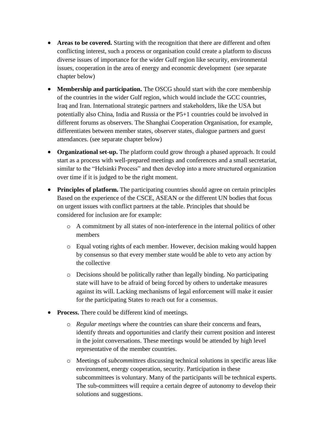- **Areas to be covered.** Starting with the recognition that there are different and often conflicting interest, such a process or organisation could create a platform to discuss diverse issues of importance for the wider Gulf region like security, environmental issues, cooperation in the area of energy and economic development (see separate chapter below)
- **Membership and participation.** The OSCG should start with the core membership of the countries in the wider Gulf region, which would include the GCC countries, Iraq and Iran. International strategic partners and stakeholders, like the USA but potentially also China, India and Russia or the P5+1 countries could be involved in different forums as observers. The Shanghai Cooperation Organisation, for example, differentiates between member states, observer states, dialogue partners and guest attendances. (see separate chapter below)
- **Organizational set-up.** The platform could grow through a phased approach. It could start as a process with well-prepared meetings and conferences and a small secretariat, similar to the "Helsinki Process" and then develop into a more structured organization over time if it is judged to be the right moment.
- **Principles of platform.** The participating countries should agree on certain principles Based on the experience of the CSCE, ASEAN or the different UN bodies that focus on urgent issues with conflict partners at the table. Principles that should be considered for inclusion are for example:
	- o A commitment by all states of non-interference in the internal politics of other members
	- o Equal voting rights of each member. However, decision making would happen by consensus so that every member state would be able to veto any action by the collective
	- o Decisions should be politically rather than legally binding. No participating state will have to be afraid of being forced by others to undertake measures against its will. Lacking mechanisms of legal enforcement will make it easier for the participating States to reach out for a consensus.
- **Process.** There could be different kind of meetings.
	- o *Regular meetings* where the countries can share their concerns and fears, identify threats and opportunities and clarify their current position and interest in the joint conversations. These meetings would be attended by high level representative of the member countries.
	- o Meetings of *subcommittees* discussing technical solutions in specific areas like environment, energy cooperation, security. Participation in these subcommittees is voluntary. Many of the participants will be technical experts. The sub-committees will require a certain degree of autonomy to develop their solutions and suggestions.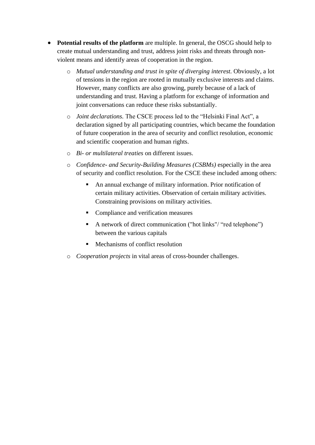- **Potential results of the platform** are multiple. In general, the OSCG should help to create mutual understanding and trust, address joint risks and threats through nonviolent means and identify areas of cooperation in the region.
	- o *Mutual understanding and trust in spite of diverging interest.* Obviously, a lot of tensions in the region are rooted in mutually exclusive interests and claims. However, many conflicts are also growing, purely because of a lack of understanding and trust. Having a platform for exchange of information and joint conversations can reduce these risks substantially.
	- o *Joint declarations.* The CSCE process led to the "Helsinki Final Act", a declaration signed by all participating countries, which became the foundation of future cooperation in the area of security and conflict resolution, economic and scientific cooperation and human rights.
	- o *Bi- or multilateral treaties* on different issues.
	- o *Confidence- and Security-Building Measures (CSBMs)* especially in the area of security and conflict resolution. For the CSCE these included among others:
		- An annual exchange of military information. Prior notification of certain military activities. Observation of certain military activities. Constraining provisions on military activities.
		- Compliance and verification measures
		- A network of direct communication ("hot links"/ "red telephone") between the various capitals
		- Mechanisms of conflict resolution
	- o *Cooperation projects* in vital areas of cross-bounder challenges.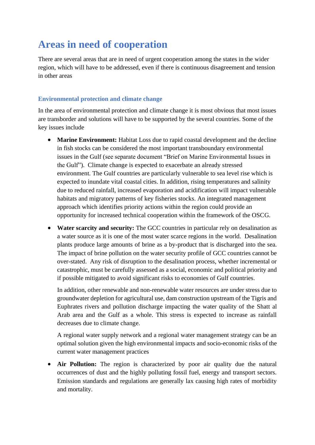### **Areas in need of cooperation**

There are several areas that are in need of urgent cooperation among the states in the wider region, which will have to be addressed, even if there is continuous disagreement and tension in other areas

### **Environmental protection and climate change**

In the area of environmental protection and climate change it is most obvious that most issues are transborder and solutions will have to be supported by the several countries. Some of the key issues include

- Marine Environment: Habitat Loss due to rapid coastal development and the decline in fish stocks can be considered the most important transboundary environmental issues in the Gulf (see separate document "Brief on Marine Environmental Issues in the Gulf"). Climate change is expected to exacerbate an already stressed environment. The Gulf countries are particularly vulnerable to sea level rise which is expected to inundate vital coastal cities. In addition, rising temperatures and salinity due to reduced rainfall, increased evaporation and acidification will impact vulnerable habitats and migratory patterns of key fisheries stocks. An integrated management approach which identifies priority actions within the region could provide an opportunity for increased technical cooperation within the framework of the OSCG.
- **Water scarcity and security:** The GCC countries in particular rely on desalination as a water source as it is one of the most water scarce regions in the world. Desalination plants produce large amounts of brine as a by-product that is discharged into the sea. The impact of brine pollution on the water security profile of GCC countries cannot be over-stated. Any risk of disruption to the desalination process, whether incremental or catastrophic, must be carefully assessed as a social, economic and political priority and if possible mitigated to avoid significant risks to economies of Gulf countries.

In addition, other renewable and non-renewable water resources are under stress due to groundwater depletion for agricultural use, dam construction upstream of the Tigris and Euphrates rivers and pollution discharge impacting the water quality of the Shatt al Arab area and the Gulf as a whole. This stress is expected to increase as rainfall decreases due to climate change.

A regional water supply network and a regional water management strategy can be an optimal solution given the high environmental impacts and socio-economic risks of the current water management practices

• **Air Pollution:** The region is characterized by poor air quality due the natural occurrences of dust and the highly polluting fossil fuel, energy and transport sectors. Emission standards and regulations are generally lax causing high rates of morbidity and mortality.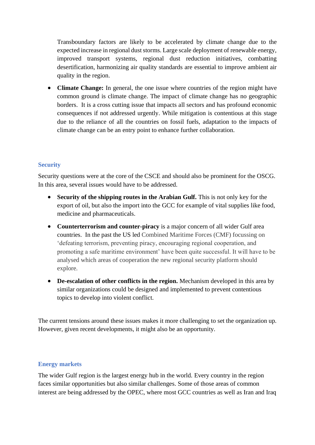Transboundary factors are likely to be accelerated by climate change due to the expected increase in regional dust storms. Large scale deployment of renewable energy, improved transport systems, regional dust reduction initiatives, combatting desertification, harmonizing air quality standards are essential to improve ambient air quality in the region.

• **Climate Change:** In general, the one issue where countries of the region might have common ground is climate change. The impact of climate change has no geographic borders. It is a cross cutting issue that impacts all sectors and has profound economic consequences if not addressed urgently. While mitigation is contentious at this stage due to the reliance of all the countries on fossil fuels, adaptation to the impacts of climate change can be an entry point to enhance further collaboration.

### **Security**

Security questions were at the core of the CSCE and should also be prominent for the OSCG. In this area, several issues would have to be addressed.

- **Security of the shipping routes in the Arabian Gulf.** This is not only key for the export of oil, but also the import into the GCC for example of vital supplies like food, medicine and pharmaceuticals.
- **Counterterrorism and counter-piracy** is a major concern of all wider Gulf area countries. In the past the US led Combined Maritime Forces (CMF) focussing on 'defeating terrorism, preventing piracy, encouraging regional cooperation, and promoting a safe maritime environment' have been quite successful. It will have to be analysed which areas of cooperation the new regional security platform should explore.
- **De-escalation of other conflicts in the region.** Mechanism developed in this area by similar organizations could be designed and implemented to prevent contentious topics to develop into violent conflict.

The current tensions around these issues makes it more challenging to set the organization up. However, given recent developments, it might also be an opportunity.

### **Energy markets**

The wider Gulf region is the largest energy hub in the world. Every country in the region faces similar opportunities but also similar challenges. Some of those areas of common interest are being addressed by the OPEC, where most GCC countries as well as Iran and Iraq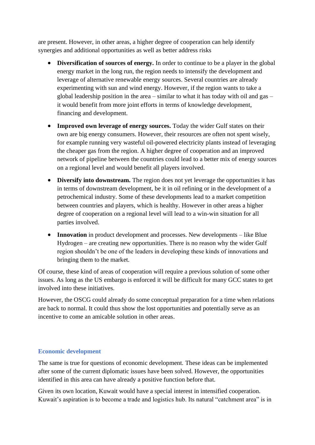are present. However, in other areas, a higher degree of cooperation can help identify synergies and additional opportunities as well as better address risks

- **Diversification of sources of energy.** In order to continue to be a player in the global energy market in the long run, the region needs to intensify the development and leverage of alternative renewable energy sources. Several countries are already experimenting with sun and wind energy. However, if the region wants to take a global leadership position in the area – similar to what it has today with oil and gas – it would benefit from more joint efforts in terms of knowledge development, financing and development.
- **Improved own leverage of energy sources.** Today the wider Gulf states on their own are big energy consumers. However, their resources are often not spent wisely, for example running very wasteful oil-powered electricity plants instead of leveraging the cheaper gas from the region. A higher degree of cooperation and an improved network of pipeline between the countries could lead to a better mix of energy sources on a regional level and would benefit all players involved.
- **Diversify into downstream.** The region does not yet leverage the opportunities it has in terms of downstream development, be it in oil refining or in the development of a petrochemical industry. Some of these developments lead to a market competition between countries and players, which is healthy. However in other areas a higher degree of cooperation on a regional level will lead to a win-win situation for all parties involved.
- **Innovation** in product development and processes. New developments like Blue Hydrogen – are creating new opportunities. There is no reason why the wider Gulf region shouldn't be one of the leaders in developing these kinds of innovations and bringing them to the market.

Of course, these kind of areas of cooperation will require a previous solution of some other issues. As long as the US embargo is enforced it will be difficult for many GCC states to get involved into these initiatives.

However, the OSCG could already do some conceptual preparation for a time when relations are back to normal. It could thus show the lost opportunities and potentially serve as an incentive to come an amicable solution in other areas.

### **Economic development**

The same is true for questions of economic development. These ideas can be implemented after some of the current diplomatic issues have been solved. However, the opportunities identified in this area can have already a positive function before that.

Given its own location, Kuwait would have a special interest in intensified cooperation. Kuwait's aspiration is to become a trade and logistics hub. Its natural "catchment area" is in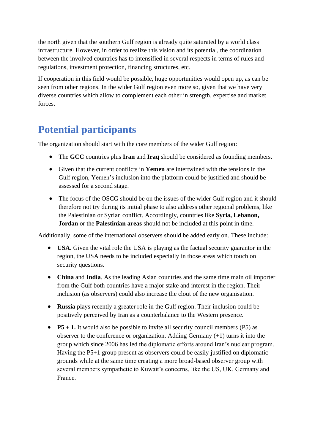the north given that the southern Gulf region is already quite saturated by a world class infrastructure. However, in order to realize this vision and its potential, the coordination between the involved countries has to intensified in several respects in terms of rules and regulations, investment protection, financing structures, etc.

If cooperation in this field would be possible, huge opportunities would open up, as can be seen from other regions. In the wider Gulf region even more so, given that we have very diverse countries which allow to complement each other in strength, expertise and market forces.

# **Potential participants**

The organization should start with the core members of the wider Gulf region:

- The **GCC** countries plus **Iran** and **Iraq** should be considered as founding members.
- Given that the current conflicts in **Yemen** are intertwined with the tensions in the Gulf region, Yemen's inclusion into the platform could be justified and should be assessed for a second stage.
- The focus of the OSCG should be on the issues of the wider Gulf region and it should therefore not try during its initial phase to also address other regional problems, like the Palestinian or Syrian conflict. Accordingly, countries like **Syria, Lebanon, Jordan** or the **Palestinian areas** should not be included at this point in time.

Additionally, some of the international observers should be added early on. These include:

- **USA.** Given the vital role the USA is playing as the factual security guarantor in the region, the USA needs to be included especially in those areas which touch on security questions.
- **China** and **India**. As the leading Asian countries and the same time main oil importer from the Gulf both countries have a major stake and interest in the region. Their inclusion (as observers) could also increase the clout of the new organisation.
- **Russia** plays recently a greater role in the Gulf region. Their inclusion could be positively perceived by Iran as a counterbalance to the Western presence.
- **P5 + 1.** It would also be possible to invite all security council members (P5) as observer to the conference or organization. Adding Germany (+1) turns it into the group which since 2006 has led the diplomatic efforts around Iran's nuclear program. Having the P5+1 group present as observers could be easily justified on diplomatic grounds while at the same time creating a more broad-based observer group with several members sympathetic to Kuwait's concerns, like the US, UK, Germany and France.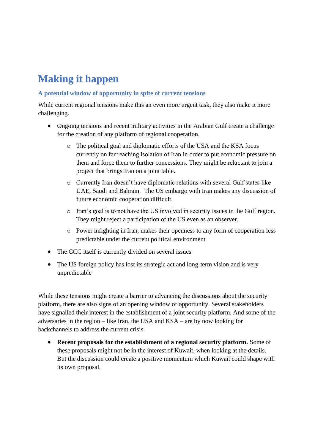# **Making it happen**

### **A potential window of opportunity in spite of current tensions**

While current regional tensions make this an even more urgent task, they also make it more challenging.

- Ongoing tensions and recent military activities in the Arabian Gulf create a challenge for the creation of any platform of regional cooperation.
	- o The political goal and diplomatic efforts of the USA and the KSA focus currently on far reaching isolation of Iran in order to put economic pressure on them and force them to further concessions. They might be reluctant to join a project that brings Iran on a joint table.
	- o Currently Iran doesn't have diplomatic relations with several Gulf states like UAE, Saudi and Bahrain. The US embargo with Iran makes any discussion of future economic cooperation difficult.
	- o Iran's goal is to not have the US involved in security issues in the Gulf region. They might reject a participation of the US even as an observer.
	- o Power infighting in Iran, makes their openness to any form of cooperation less predictable under the current political environment
- The GCC itself is currently divided on several issues
- The US foreign policy has lost its strategic act and long-term vision and is very unpredictable

While these tensions might create a barrier to advancing the discussions about the security platform, there are also signs of an opening window of opportunity. Several stakeholders have signalled their interest in the establishment of a joint security platform. And some of the adversaries in the region – like Iran, the USA and KSA – are by now looking for backchannels to address the current crisis.

• **Recent proposals for the establishment of a regional security platform.** Some of these proposals might not be in the interest of Kuwait, when looking at the details. But the discussion could create a positive momentum which Kuwait could shape with its own proposal.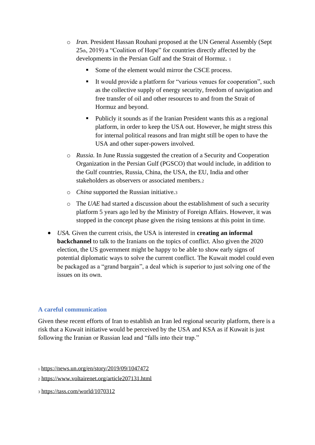- o *Iran.* President Hassan Rouhani proposed at the UN General Assembly (Sept 25th, 2019) a "Coalition of Hope" for countries directly affected by the developments in the Persian Gulf and the Strait of Hormuz. <sup>1</sup>
	- Some of the element would mirror the CSCE process.
	- It would provide a platform for "various venues for cooperation", such as the collective supply of energy security, freedom of navigation and free transfer of oil and other resources to and from the Strait of Hormuz and beyond.
	- Publicly it sounds as if the Iranian President wants this as a regional platform, in order to keep the USA out. However, he might stress this for internal political reasons and Iran might still be open to have the USA and other super-powers involved.
- o *Russia.* In June Russia suggested the creation of a Security and Cooperation Organization in the Persian Gulf (PGSCO) that would include, in addition to the Gulf countries, Russia, China, the USA, the EU, India and other stakeholders as observers or associated members.<sup>2</sup>
- o *China* supported the Russian initiative.<sup>3</sup>
- o The *UAE* had started a discussion about the establishment of such a security platform 5 years ago led by the Ministry of Foreign Affairs. However, it was stopped in the concept phase given the rising tensions at this point in time.
- *USA.* Given the current crisis, the USA is interested in **creating an informal backchannel** to talk to the Iranians on the topics of conflict. Also given the 2020 election, the US government might be happy to be able to show early signs of potential diplomatic ways to solve the current conflict. The Kuwait model could even be packaged as a "grand bargain", a deal which is superior to just solving one of the issues on its own.

### **A careful communication**

Given these recent efforts of Iran to establish an Iran led regional security platform, there is a risk that a Kuwait initiative would be perceived by the USA and KSA as if Kuwait is just following the Iranian or Russian lead and "falls into their trap."

<sup>3</sup> <https://tass.com/world/1070312>

<sup>1</sup> <https://news.un.org/en/story/2019/09/1047472>

<sup>2</sup> <https://www.voltairenet.org/article207131.html>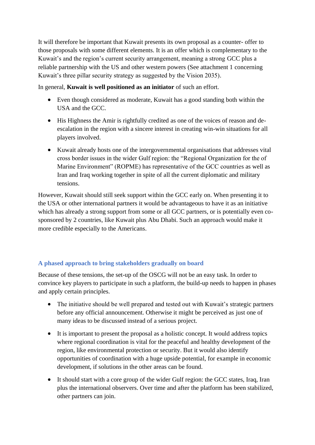It will therefore be important that Kuwait presents its own proposal as a counter- offer to those proposals with some different elements. It is an offer which is complementary to the Kuwait's and the region's current security arrangement, meaning a strong GCC plus a reliable partnership with the US and other western powers (See attachment 1 concerning Kuwait's three pillar security strategy as suggested by the Vision 2035).

In general, **Kuwait is well positioned as an initiator** of such an effort.

- Even though considered as moderate, Kuwait has a good standing both within the USA and the GCC.
- His Highness the Amir is rightfully credited as one of the voices of reason and deescalation in the region with a sincere interest in creating win-win situations for all players involved.
- Kuwait already hosts one of the intergovernmental organisations that addresses vital cross border issues in the wider Gulf region: the "Regional Organization for the of Marine Environment" (ROPME) has representative of the GCC countries as well as Iran and Iraq working together in spite of all the current diplomatic and military tensions.

However, Kuwait should still seek support within the GCC early on. When presenting it to the USA or other international partners it would be advantageous to have it as an initiative which has already a strong support from some or all GCC partners, or is potentially even cosponsored by 2 countries, like Kuwait plus Abu Dhabi. Such an approach would make it more credible especially to the Americans.

### **A phased approach to bring stakeholders gradually on board**

Because of these tensions, the set-up of the OSCG will not be an easy task. In order to convince key players to participate in such a platform, the build-up needs to happen in phases and apply certain principles.

- The initiative should be well prepared and tested out with Kuwait's strategic partners before any official announcement. Otherwise it might be perceived as just one of many ideas to be discussed instead of a serious project.
- It is important to present the proposal as a holistic concept. It would address topics where regional coordination is vital for the peaceful and healthy development of the region, like environmental protection or security. But it would also identify opportunities of coordination with a huge upside potential, for example in economic development, if solutions in the other areas can be found.
- It should start with a core group of the wider Gulf region: the GCC states, Iraq, Iran plus the international observers. Over time and after the platform has been stabilized, other partners can join.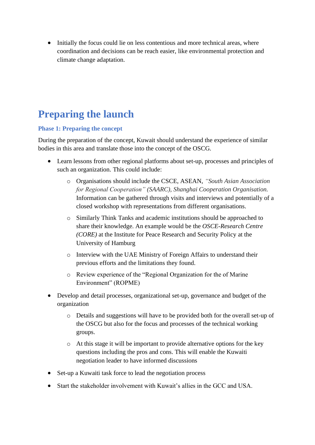• Initially the focus could lie on less contentious and more technical areas, where coordination and decisions can be reach easier, like environmental protection and climate change adaptation.

## **Preparing the launch**

### **Phase 1: Preparing the concept**

During the preparation of the concept, Kuwait should understand the experience of similar bodies in this area and translate those into the concept of the OSCG.

- Learn lessons from other regional platforms about set-up, processes and principles of such an organization. This could include:
	- o Organisations should include the CSCE, ASEAN, *"South Asian Association for Regional Cooperation" (SAARC), Shanghai Cooperation Organisation.* Information can be gathered through visits and interviews and potentially of a closed workshop with representations from different organisations.
	- o Similarly Think Tanks and academic institutions should be approached to share their knowledge. An example would be the *OSCE-Research Centre (CORE)* at the Institute for Peace Research and Security Policy at the University of Hamburg
	- o Interview with the UAE Ministry of Foreign Affairs to understand their previous efforts and the limitations they found.
	- o Review experience of the "Regional Organization for the of Marine Environment" (ROPME)
- Develop and detail processes, organizational set-up, governance and budget of the organization
	- o Details and suggestions will have to be provided both for the overall set-up of the OSCG but also for the focus and processes of the technical working groups.
	- o At this stage it will be important to provide alternative options for the key questions including the pros and cons. This will enable the Kuwaiti negotiation leader to have informed discussions
- Set-up a Kuwaiti task force to lead the negotiation process
- Start the stakeholder involvement with Kuwait's allies in the GCC and USA.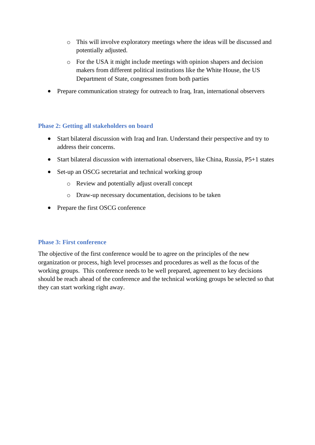- o This will involve exploratory meetings where the ideas will be discussed and potentially adjusted.
- o For the USA it might include meetings with opinion shapers and decision makers from different political institutions like the White House, the US Department of State, congressmen from both parties
- Prepare communication strategy for outreach to Iraq, Iran, international observers

### **Phase 2: Getting all stakeholders on board**

- Start bilateral discussion with Iraq and Iran. Understand their perspective and try to address their concerns.
- Start bilateral discussion with international observers, like China, Russia, P5+1 states
- Set-up an OSCG secretariat and technical working group
	- o Review and potentially adjust overall concept
	- o Draw-up necessary documentation, decisions to be taken
- Prepare the first OSCG conference

### **Phase 3: First conference**

The objective of the first conference would be to agree on the principles of the new organization or process, high level processes and procedures as well as the focus of the working groups. This conference needs to be well prepared, agreement to key decisions should be reach ahead of the conference and the technical working groups be selected so that they can start working right away.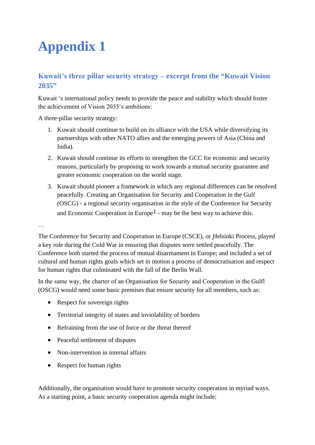# **Appendix 1**

### **Kuwait's three pillar security strategy – excerpt from the "Kuwait Vision 2035"**

Kuwait 's international policy needs to provide the peace and stability which should foster the achievement of Vision 2035's ambitions:

A three-pillar security strategy:

- 1. Kuwait should continue to build on its alliance with the USA while diversifying its partnerships with other NATO allies and the emerging powers of Asia (China and India).
- 2. Kuwait should continue its efforts to strengthen the GCC for economic and security reasons, particularly by proposing to work towards a mutual security guarantee and greater economic cooperation on the world stage.
- 3. Kuwait should pioneer a framework in which any regional differences can be resolved peacefully. Creating an Organisation for Security and Cooperation in the Gulf (OSCG) - a regional security organisation in the style of the Conference for Security and Economic Cooperation in Europe<sup>1</sup> - may be the best way to achieve this.

…

The Conference for Security and Cooperation in Europe (CSCE), or Helsinki Process, played a key role during the Cold War in ensuring that disputes were settled peacefully. The Conference both started the process of mutual disarmament in Europe; and included a set of cultural and human rights goals which set in motion a process of democratisation and respect for human rights that culminated with the fall of the Berlin Wall.

In the same way, the charter of an Organisation for Security and Cooperation in the Gulf‖ (OSCG) would need some basic premises that ensure security for all members, such as:

- Respect for sovereign rights
- Territorial integrity of states and inviolability of borders
- Refraining from the use of force or the threat thereof
- Peaceful settlement of disputes
- Non-intervention in internal affairs
- Respect for human rights

Additionally, the organisation would have to promote security cooperation in myriad ways. As a starting point, a basic security cooperation agenda might include: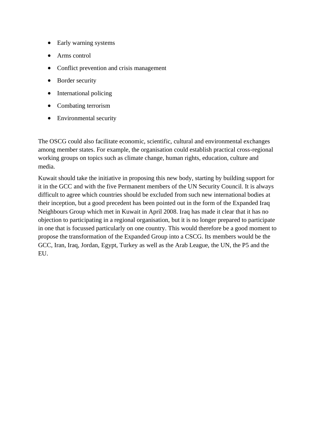- Early warning systems
- Arms control
- Conflict prevention and crisis management
- Border security
- International policing
- Combating terrorism
- Environmental security

The OSCG could also facilitate economic, scientific, cultural and environmental exchanges among member states. For example, the organisation could establish practical cross-regional working groups on topics such as climate change, human rights, education, culture and media.

Kuwait should take the initiative in proposing this new body, starting by building support for it in the GCC and with the five Permanent members of the UN Security Council. It is always difficult to agree which countries should be excluded from such new international bodies at their inception, but a good precedent has been pointed out in the form of the Expanded Iraq Neighbours Group which met in Kuwait in April 2008. Iraq has made it clear that it has no objection to participating in a regional organisation, but it is no longer prepared to participate in one that is focussed particularly on one country. This would therefore be a good moment to propose the transformation of the Expanded Group into a CSCG. Its members would be the GCC, Iran, Iraq, Jordan, Egypt, Turkey as well as the Arab League, the UN, the P5 and the EU.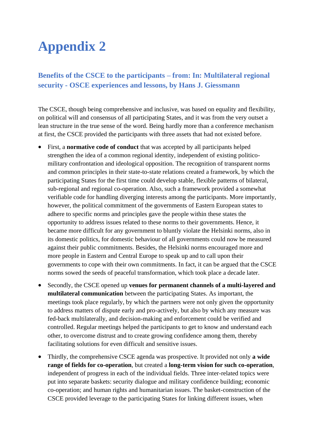# **Appendix 2**

### **Benefits of the CSCE to the participants – from: In: Multilateral regional security - OSCE experiences and lessons, by Hans J. Giessmann**

The CSCE, though being comprehensive and inclusive, was based on equality and flexibility, on political will and consensus of all participating States, and it was from the very outset a lean structure in the true sense of the word. Being hardly more than a conference mechanism at first, the CSCE provided the participants with three assets that had not existed before.

- First, a **normative code of conduct** that was accepted by all participants helped strengthen the idea of a common regional identity, independent of existing politicomilitary confrontation and ideological opposition. The recognition of transparent norms and common principles in their state-to-state relations created a framework, by which the participating States for the first time could develop stable, flexible patterns of bilateral, sub-regional and regional co-operation. Also, such a framework provided a somewhat verifiable code for handling diverging interests among the participants. More importantly, however, the political commitment of the governments of Eastern European states to adhere to specific norms and principles gave the people within these states the opportunity to address issues related to these norms to their governments. Hence, it became more difficult for any government to bluntly violate the Helsinki norms, also in its domestic politics, for domestic behaviour of all governments could now be measured against their public commitments. Besides, the Helsinki norms encouraged more and more people in Eastern and Central Europe to speak up and to call upon their governments to cope with their own commitments. In fact, it can be argued that the CSCE norms sowed the seeds of peaceful transformation, which took place a decade later.
- Secondly, the CSCE opened up **venues for permanent channels of a multi-layered and multilateral communication** between the participating States. As important, the meetings took place regularly, by which the partners were not only given the opportunity to address matters of dispute early and pro-actively, but also by which any measure was fed-back multilaterally, and decision-making and enforcement could be verified and controlled. Regular meetings helped the participants to get to know and understand each other, to overcome distrust and to create growing confidence among them, thereby facilitating solutions for even difficult and sensitive issues.
- Thirdly, the comprehensive CSCE agenda was prospective. It provided not only **a wide range of fields for co-operation**, but created a **long-term vision for such co-operation**, independent of progress in each of the individual fields. Three inter-related topics were put into separate baskets: security dialogue and military confidence building; economic co-operation; and human rights and humanitarian issues. The basket-construction of the CSCE provided leverage to the participating States for linking different issues, when